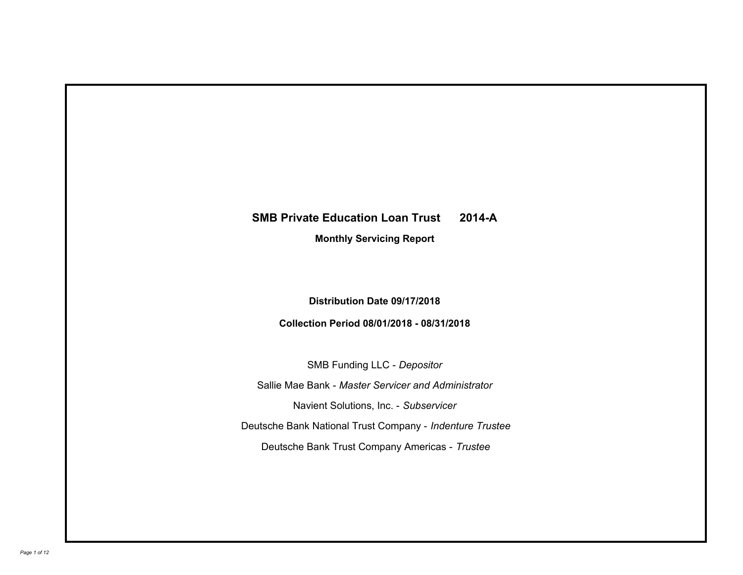# **SMB Private Education Loan Trust 2014-A**

**Monthly Servicing Report**

**Distribution Date 09/17/2018**

**Collection Period 08/01/2018 - 08/31/2018**

SMB Funding LLC - *Depositor* Sallie Mae Bank - *Master Servicer and Administrator* Deutsche Bank National Trust Company - *Indenture Trustee* Deutsche Bank Trust Company Americas - *Trustee* Navient Solutions, Inc. - *Subservicer*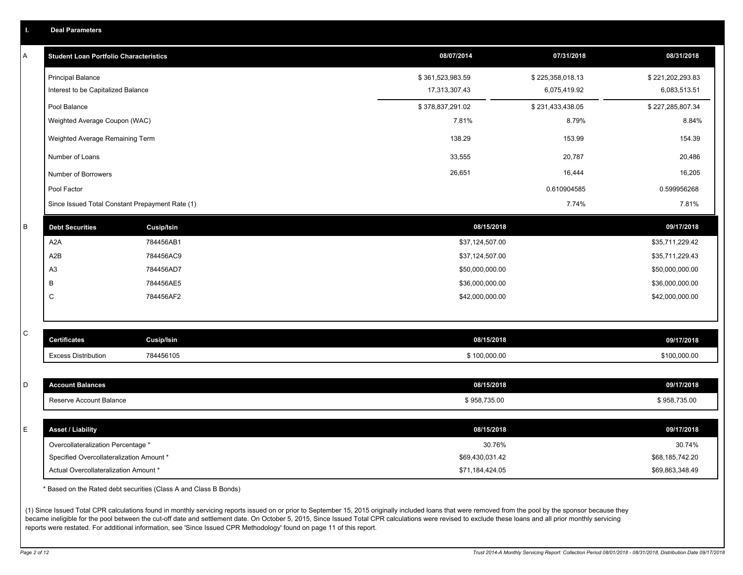| Т. | <b>Deal Parameters</b>                          |                                                                  |                  |                  |                  |
|----|-------------------------------------------------|------------------------------------------------------------------|------------------|------------------|------------------|
| Α  | <b>Student Loan Portfolio Characteristics</b>   |                                                                  | 08/07/2014       | 07/31/2018       | 08/31/2018       |
|    | <b>Principal Balance</b>                        |                                                                  | \$361,523,983.59 | \$225,358,018.13 | \$221,202,293.83 |
|    | Interest to be Capitalized Balance              |                                                                  | 17,313,307.43    | 6,075,419.92     | 6,083,513.51     |
|    | Pool Balance                                    |                                                                  | \$378,837,291.02 | \$231,433,438.05 | \$227,285,807.34 |
|    | Weighted Average Coupon (WAC)                   |                                                                  | 7.81%            | 8.79%            | 8.84%            |
|    | Weighted Average Remaining Term                 |                                                                  | 138.29           | 153.99           | 154.39           |
|    | Number of Loans                                 |                                                                  | 33,555           | 20,787           | 20,486           |
|    | Number of Borrowers                             |                                                                  | 26,651           | 16,444           | 16,205           |
|    | Pool Factor                                     |                                                                  |                  | 0.610904585      | 0.599956268      |
|    | Since Issued Total Constant Prepayment Rate (1) |                                                                  |                  | 7.74%            | 7.81%            |
| B  | <b>Debt Securities</b>                          | <b>Cusip/Isin</b>                                                | 08/15/2018       |                  | 09/17/2018       |
|    | A <sub>2</sub> A                                | 784456AB1                                                        | \$37,124,507.00  |                  | \$35,711,229.42  |
|    | A2B                                             | 784456AC9                                                        | \$37,124,507.00  |                  | \$35,711,229.43  |
|    | A <sub>3</sub>                                  | 784456AD7                                                        | \$50,000,000.00  |                  | \$50,000,000.00  |
|    | B                                               | 784456AE5                                                        | \$36,000,000.00  |                  | \$36,000,000.00  |
|    | $\mathsf{C}$                                    | 784456AF2                                                        | \$42,000,000.00  |                  | \$42,000,000.00  |
| С  |                                                 |                                                                  |                  |                  |                  |
|    | <b>Certificates</b>                             | <b>Cusip/Isin</b>                                                | 08/15/2018       |                  | 09/17/2018       |
|    | <b>Excess Distribution</b>                      | 784456105                                                        | \$100,000.00     |                  | \$100,000.00     |
| D  | <b>Account Balances</b>                         |                                                                  | 08/15/2018       |                  | 09/17/2018       |
|    | Reserve Account Balance                         |                                                                  | \$958,735.00     |                  | \$958,735.00     |
|    |                                                 |                                                                  |                  |                  |                  |
| E  | <b>Asset / Liability</b>                        |                                                                  | 08/15/2018       |                  | 09/17/2018       |
|    | Overcollateralization Percentage *              |                                                                  | 30.76%           |                  | 30.74%           |
|    | Specified Overcollateralization Amount *        |                                                                  | \$69,430,031.42  |                  | \$68,185,742.20  |
|    | Actual Overcollateralization Amount *           |                                                                  | \$71,184,424.05  |                  | \$69,863,348.49  |
|    |                                                 | * Based on the Rated debt securities (Class A and Class B Bonds) |                  |                  |                  |

(1) Since Issued Total CPR calculations found in monthly servicing reports issued on or prior to September 15, 2015 originally included loans that were removed from the pool by the sponsor because they became ineligible for the pool between the cut-off date and settlement date. On October 5, 2015, Since Issued Total CPR calculations were revised to exclude these loans and all prior monthly servicing reports were restated. For additional information, see 'Since Issued CPR Methodology' found on page 11 of this report.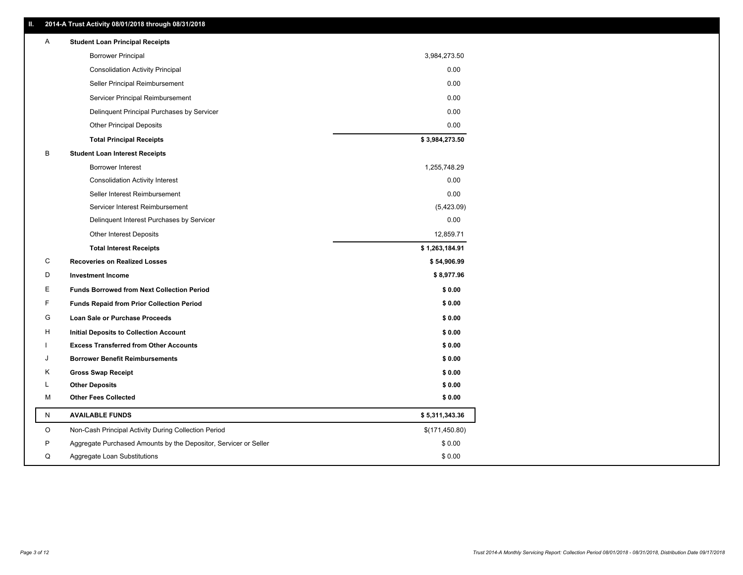| Α       | <b>Student Loan Principal Receipts</b>                           |                |
|---------|------------------------------------------------------------------|----------------|
|         | <b>Borrower Principal</b>                                        | 3,984,273.50   |
|         | <b>Consolidation Activity Principal</b>                          | 0.00           |
|         | Seller Principal Reimbursement                                   | 0.00           |
|         | Servicer Principal Reimbursement                                 | 0.00           |
|         | Delinquent Principal Purchases by Servicer                       | 0.00           |
|         | <b>Other Principal Deposits</b>                                  | 0.00           |
|         | <b>Total Principal Receipts</b>                                  | \$3,984,273.50 |
| В       | <b>Student Loan Interest Receipts</b>                            |                |
|         | Borrower Interest                                                | 1,255,748.29   |
|         | <b>Consolidation Activity Interest</b>                           | 0.00           |
|         | Seller Interest Reimbursement                                    | 0.00           |
|         | Servicer Interest Reimbursement                                  | (5,423.09)     |
|         | Delinquent Interest Purchases by Servicer                        | 0.00           |
|         | <b>Other Interest Deposits</b>                                   | 12,859.71      |
|         | <b>Total Interest Receipts</b>                                   | \$1,263,184.91 |
| C       | <b>Recoveries on Realized Losses</b>                             | \$54,906.99    |
| D       | <b>Investment Income</b>                                         | \$8,977.96     |
| Ε       | <b>Funds Borrowed from Next Collection Period</b>                | \$0.00         |
| F       |                                                                  |                |
|         | <b>Funds Repaid from Prior Collection Period</b>                 | \$0.00         |
| G       | Loan Sale or Purchase Proceeds                                   | \$0.00         |
| H       | Initial Deposits to Collection Account                           | \$0.00         |
|         | <b>Excess Transferred from Other Accounts</b>                    | \$0.00         |
| J       | <b>Borrower Benefit Reimbursements</b>                           | \$0.00         |
| Κ       | <b>Gross Swap Receipt</b>                                        | \$0.00         |
| L       | <b>Other Deposits</b>                                            | \$0.00         |
| м       | <b>Other Fees Collected</b>                                      | \$0.00         |
| N       | <b>AVAILABLE FUNDS</b>                                           | \$5,311,343.36 |
| $\circ$ | Non-Cash Principal Activity During Collection Period             | \$(171,450.80) |
| P       | Aggregate Purchased Amounts by the Depositor, Servicer or Seller | \$0.00         |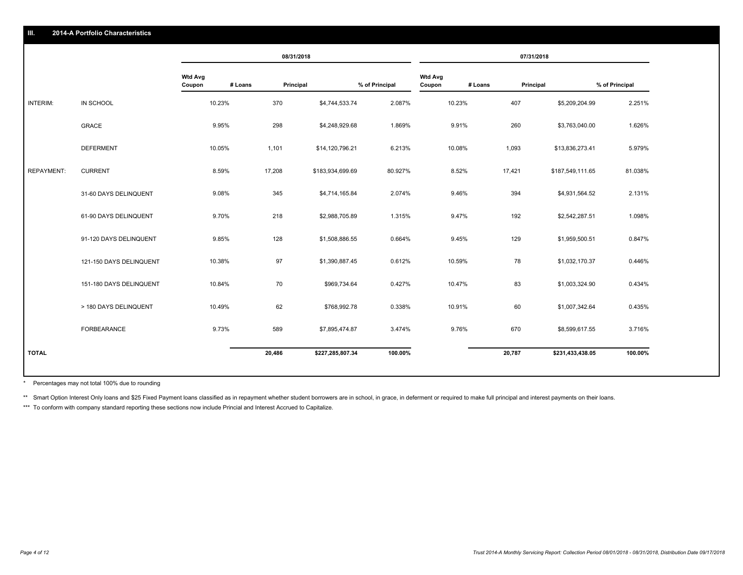|                   |                         |                          |         | 08/31/2018<br>07/31/2018 |                |                          |         |        |                  |                |
|-------------------|-------------------------|--------------------------|---------|--------------------------|----------------|--------------------------|---------|--------|------------------|----------------|
|                   |                         | <b>Wtd Avg</b><br>Coupon | # Loans | Principal                | % of Principal | <b>Wtd Avg</b><br>Coupon | # Loans |        | Principal        | % of Principal |
| INTERIM:          | IN SCHOOL               | 10.23%                   | 370     | \$4,744,533.74           | 2.087%         | 10.23%                   |         | 407    | \$5,209,204.99   | 2.251%         |
|                   | <b>GRACE</b>            | 9.95%                    | 298     | \$4,248,929.68           | 1.869%         | 9.91%                    |         | 260    | \$3,763,040.00   | 1.626%         |
|                   | <b>DEFERMENT</b>        | 10.05%                   | 1,101   | \$14,120,796.21          | 6.213%         | 10.08%                   |         | 1,093  | \$13,836,273.41  | 5.979%         |
| <b>REPAYMENT:</b> | <b>CURRENT</b>          | 8.59%                    | 17,208  | \$183,934,699.69         | 80.927%        | 8.52%                    |         | 17,421 | \$187,549,111.65 | 81.038%        |
|                   | 31-60 DAYS DELINQUENT   | 9.08%                    | 345     | \$4,714,165.84           | 2.074%         | 9.46%                    |         | 394    | \$4,931,564.52   | 2.131%         |
|                   | 61-90 DAYS DELINQUENT   | 9.70%                    | 218     | \$2,988,705.89           | 1.315%         | 9.47%                    |         | 192    | \$2,542,287.51   | 1.098%         |
|                   | 91-120 DAYS DELINQUENT  | 9.85%                    | 128     | \$1,508,886.55           | 0.664%         | 9.45%                    |         | 129    | \$1,959,500.51   | 0.847%         |
|                   | 121-150 DAYS DELINQUENT | 10.38%                   | 97      | \$1,390,887.45           | 0.612%         | 10.59%                   |         | 78     | \$1,032,170.37   | 0.446%         |
|                   | 151-180 DAYS DELINQUENT | 10.84%                   | 70      | \$969,734.64             | 0.427%         | 10.47%                   |         | 83     | \$1,003,324.90   | 0.434%         |
|                   | > 180 DAYS DELINQUENT   | 10.49%                   | 62      | \$768,992.78             | 0.338%         | 10.91%                   |         | 60     | \$1,007,342.64   | 0.435%         |
|                   | <b>FORBEARANCE</b>      | 9.73%                    | 589     | \$7,895,474.87           | 3.474%         | 9.76%                    |         | 670    | \$8,599,617.55   | 3.716%         |
| <b>TOTAL</b>      |                         |                          | 20,486  | \$227,285,807.34         | 100.00%        |                          |         | 20,787 | \$231,433,438.05 | 100.00%        |

Percentages may not total 100% due to rounding \*

\*\* Smart Option Interest Only loans and \$25 Fixed Payment loans classified as in repayment whether student borrowers are in school, in grace, in deferment or required to make full principal and interest payments on their l

\*\*\* To conform with company standard reporting these sections now include Princial and Interest Accrued to Capitalize.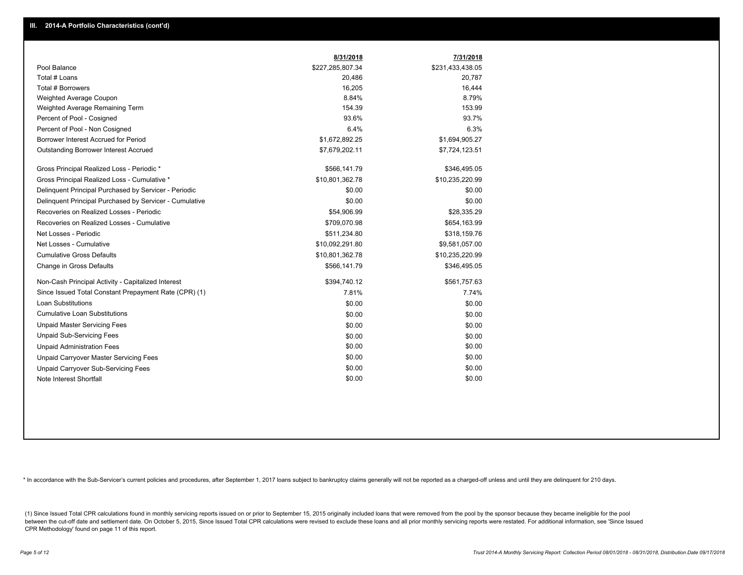|                                                         | 8/31/2018        | 7/31/2018        |
|---------------------------------------------------------|------------------|------------------|
| Pool Balance                                            | \$227,285,807.34 | \$231,433,438.05 |
| Total # Loans                                           | 20,486           | 20,787           |
| Total # Borrowers                                       | 16,205           | 16,444           |
| Weighted Average Coupon                                 | 8.84%            | 8.79%            |
| Weighted Average Remaining Term                         | 154.39           | 153.99           |
| Percent of Pool - Cosigned                              | 93.6%            | 93.7%            |
| Percent of Pool - Non Cosigned                          | 6.4%             | 6.3%             |
| Borrower Interest Accrued for Period                    | \$1,672,892.25   | \$1,694,905.27   |
| <b>Outstanding Borrower Interest Accrued</b>            | \$7,679,202.11   | \$7,724,123.51   |
| Gross Principal Realized Loss - Periodic *              | \$566,141.79     | \$346,495.05     |
| Gross Principal Realized Loss - Cumulative *            | \$10,801,362.78  | \$10,235,220.99  |
| Delinguent Principal Purchased by Servicer - Periodic   | \$0.00           | \$0.00           |
| Delinquent Principal Purchased by Servicer - Cumulative | \$0.00           | \$0.00           |
| Recoveries on Realized Losses - Periodic                | \$54,906.99      | \$28,335.29      |
| Recoveries on Realized Losses - Cumulative              | \$709,070.98     | \$654,163.99     |
| Net Losses - Periodic                                   | \$511,234.80     | \$318,159.76     |
| Net Losses - Cumulative                                 | \$10,092,291.80  | \$9,581,057.00   |
| <b>Cumulative Gross Defaults</b>                        | \$10,801,362.78  | \$10,235,220.99  |
| Change in Gross Defaults                                | \$566,141.79     | \$346,495.05     |
| Non-Cash Principal Activity - Capitalized Interest      | \$394,740.12     | \$561,757.63     |
| Since Issued Total Constant Prepayment Rate (CPR) (1)   | 7.81%            | 7.74%            |
| <b>Loan Substitutions</b>                               | \$0.00           | \$0.00           |
| <b>Cumulative Loan Substitutions</b>                    | \$0.00           | \$0.00           |
| <b>Unpaid Master Servicing Fees</b>                     | \$0.00           | \$0.00           |
| <b>Unpaid Sub-Servicing Fees</b>                        | \$0.00           | \$0.00           |
| <b>Unpaid Administration Fees</b>                       | \$0.00           | \$0.00           |
| <b>Unpaid Carryover Master Servicing Fees</b>           | \$0.00           | \$0.00           |
| Unpaid Carryover Sub-Servicing Fees                     | \$0.00           | \$0.00           |
| Note Interest Shortfall                                 | \$0.00           | \$0.00           |

\* In accordance with the Sub-Servicer's current policies and procedures, after September 1, 2017 loans subject to bankruptcy claims generally will not be reported as a charged-off unless and until they are delinquent for 2

(1) Since Issued Total CPR calculations found in monthly servicing reports issued on or prior to September 15, 2015 originally included loans that were removed from the pool by the sponsor because they became ineligible fo between the cut-off date and settlement date. On October 5, 2015, Since Issued Total CPR calculations were revised to exclude these loans and all prior monthly servicing reports were restated. For additional information, s CPR Methodology' found on page 11 of this report.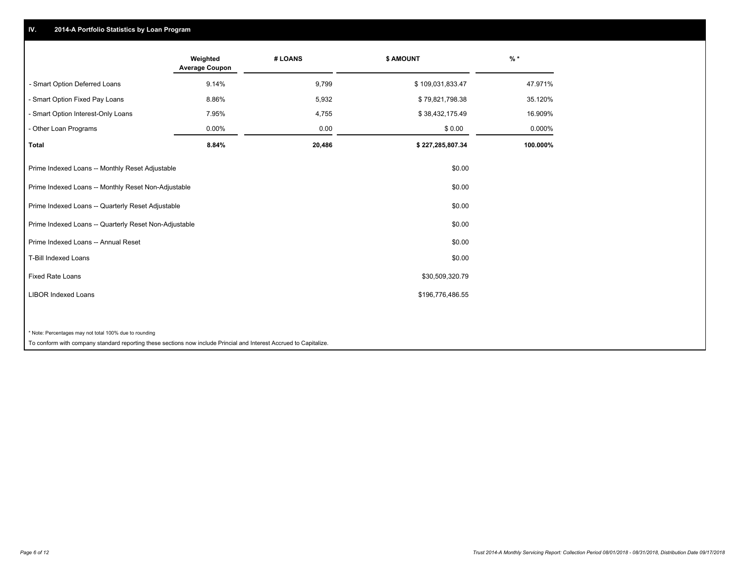# **IV. 2014-A Portfolio Statistics by Loan Program**

|                                                        | Weighted<br><b>Average Coupon</b> | # LOANS | <b>\$ AMOUNT</b> | $%$ *    |
|--------------------------------------------------------|-----------------------------------|---------|------------------|----------|
| - Smart Option Deferred Loans                          | 9.14%                             | 9,799   | \$109,031,833.47 | 47.971%  |
| - Smart Option Fixed Pay Loans                         | 8.86%                             | 5,932   | \$79,821,798.38  | 35.120%  |
| - Smart Option Interest-Only Loans                     | 7.95%                             | 4,755   | \$38,432,175.49  | 16.909%  |
| - Other Loan Programs                                  | $0.00\%$                          | 0.00    | \$0.00           | 0.000%   |
| <b>Total</b>                                           | 8.84%                             | 20,486  | \$227,285,807.34 | 100.000% |
| Prime Indexed Loans -- Monthly Reset Adjustable        |                                   |         | \$0.00           |          |
| Prime Indexed Loans -- Monthly Reset Non-Adjustable    |                                   |         | \$0.00           |          |
| Prime Indexed Loans -- Quarterly Reset Adjustable      |                                   |         | \$0.00           |          |
| Prime Indexed Loans -- Quarterly Reset Non-Adjustable  |                                   |         | \$0.00           |          |
| Prime Indexed Loans -- Annual Reset                    |                                   |         | \$0.00           |          |
| <b>T-Bill Indexed Loans</b>                            |                                   |         | \$0.00           |          |
| Fixed Rate Loans                                       |                                   |         | \$30,509,320.79  |          |
| <b>LIBOR Indexed Loans</b>                             |                                   |         | \$196,776,486.55 |          |
|                                                        |                                   |         |                  |          |
| * Note: Percentages may not total 100% due to rounding |                                   |         |                  |          |

To conform with company standard reporting these sections now include Princial and Interest Accrued to Capitalize.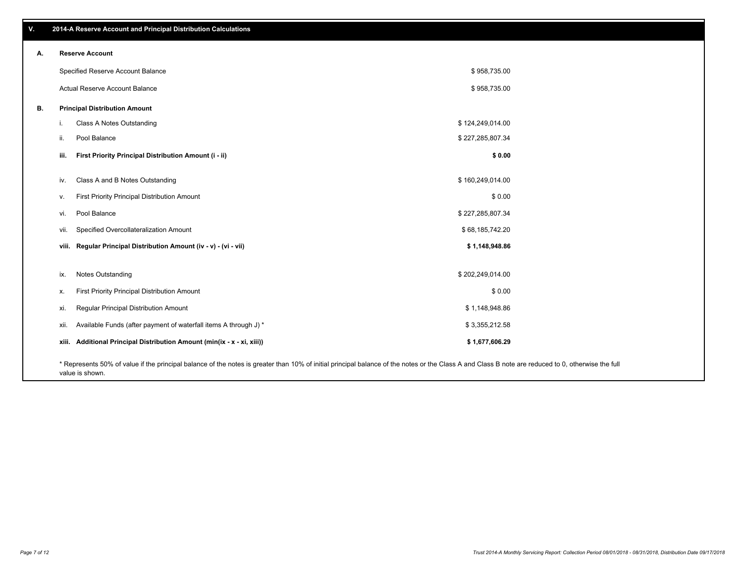**viii. Regular Principal Distribution Amount (iv - v) - (vi - vii) \$ 1,148,948.86** vii. Specified Overcollateralization Amount **by a contract of the Contract of Contract State State State State State State State State State State State State State State State State State State State State State State Sta** vi. Pool Balance \$ 227,285,807.34 v. First Priority Principal Distribution Amount **Amount 3 0.00** Solution 3 and 3 and 3 and 3 and 3 and 3 and 3 and 3 and 3 and 3 and 3 and 3 and 3 and 3 and 3 and 3 and 3 and 3 and 3 and 3 and 3 and 3 and 3 and 3 and 3 and iv. Class A and B Notes Outstanding and the state of the state of the state of the state of the state of the state of the state of the state of the state of the state of the state of the state of the state of the state of **iii. First Priority Principal Distribution Amount (i - ii) \$ 0.00** \$ 958,735.00 \$ 958,735.00 Specified Reserve Account Balance Actual Reserve Account Balance **B. Principal Distribution Amount** i. Class A Notes Outstanding the control of the control of the control of the control of the control of the control of the control of the control of the control of the control of the control of the control of the control o ii. Pool Balance  $$27,285,807.34$ ix. Notes Outstanding \$ 202,249,014.00 x. First Priority Principal Distribution Amount 6 1000 to the state of the state of the state of the state of the state of the state of the state of the state of the state of the state of the state of the state of the stat xi. Regular Principal Distribution Amount \$ 1,148,948.86 xii. Available Funds (after payment of waterfall items A through J) \* **xiii. Additional Principal Distribution Amount (min(ix - x - xi, xiii)) \$ 1,677,606.29** \$ 3,355,212.58

\* Represents 50% of value if the principal balance of the notes is greater than 10% of initial principal balance of the notes or the Class A and Class B note are reduced to 0, otherwise the full value is shown.

# **V. 2014-A Reserve Account and Principal Distribution Calculations**

**A. Reserve Account**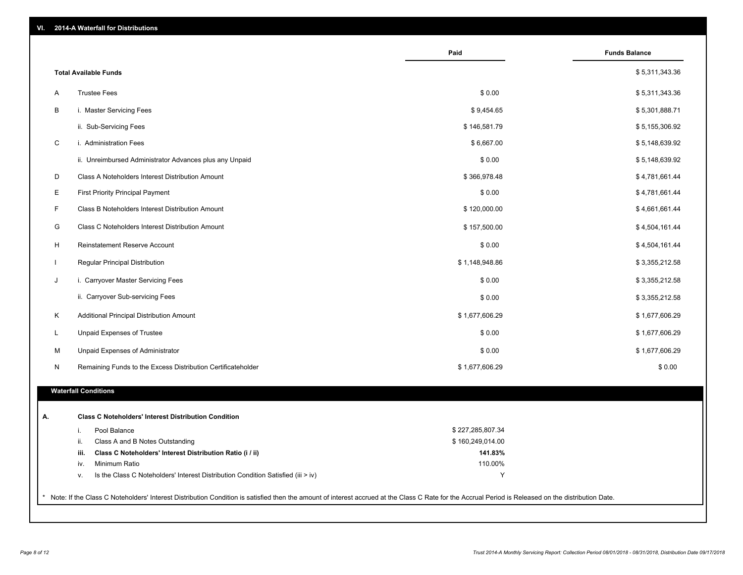| VI. |  |  | 2014-A Waterfall for Distributions |
|-----|--|--|------------------------------------|
|-----|--|--|------------------------------------|

|              |                                                                                        | Paid             | <b>Funds Balance</b> |
|--------------|----------------------------------------------------------------------------------------|------------------|----------------------|
|              | <b>Total Available Funds</b>                                                           |                  | \$5,311,343.36       |
| A            | <b>Trustee Fees</b>                                                                    | \$0.00           | \$5,311,343.36       |
| B            | i. Master Servicing Fees                                                               | \$9,454.65       | \$5,301,888.71       |
|              | ii. Sub-Servicing Fees                                                                 | \$146,581.79     | \$5,155,306.92       |
| C            | i. Administration Fees                                                                 | \$6,667.00       | \$5,148,639.92       |
|              | ii. Unreimbursed Administrator Advances plus any Unpaid                                | \$0.00           | \$5,148,639.92       |
| D            | Class A Noteholders Interest Distribution Amount                                       | \$366,978.48     | \$4,781,661.44       |
| Е            | <b>First Priority Principal Payment</b>                                                | \$0.00           | \$4,781,661.44       |
| F            | Class B Noteholders Interest Distribution Amount                                       | \$120,000.00     | \$4,661,661.44       |
| G            | Class C Noteholders Interest Distribution Amount                                       | \$157,500.00     | \$4,504,161.44       |
| H            | Reinstatement Reserve Account                                                          | \$0.00           | \$4,504,161.44       |
| $\mathbf{I}$ | Regular Principal Distribution                                                         | \$1,148,948.86   | \$3,355,212.58       |
| J            | i. Carryover Master Servicing Fees                                                     | \$0.00           | \$3,355,212.58       |
|              | ii. Carryover Sub-servicing Fees                                                       | \$0.00           | \$3,355,212.58       |
| Κ            | Additional Principal Distribution Amount                                               | \$1,677,606.29   | \$1,677,606.29       |
| L            | Unpaid Expenses of Trustee                                                             | \$0.00           | \$1,677,606.29       |
| м            | Unpaid Expenses of Administrator                                                       | \$0.00           | \$1,677,606.29       |
| N            | Remaining Funds to the Excess Distribution Certificateholder                           | \$1,677,606.29   | \$0.00               |
|              |                                                                                        |                  |                      |
|              | <b>Waterfall Conditions</b>                                                            |                  |                      |
|              | <b>Class C Noteholders' Interest Distribution Condition</b>                            |                  |                      |
|              | Pool Balance<br>i.                                                                     | \$227,285,807.34 |                      |
|              | ii.<br>Class A and B Notes Outstanding                                                 | \$160,249,014.00 |                      |
|              | Class C Noteholders' Interest Distribution Ratio (i / ii)<br>iii.                      | 141.83%          |                      |
|              | iv.<br>Minimum Ratio                                                                   | 110.00%          |                      |
|              | Is the Class C Noteholders' Interest Distribution Condition Satisfied (iii > iv)<br>v. | Y                |                      |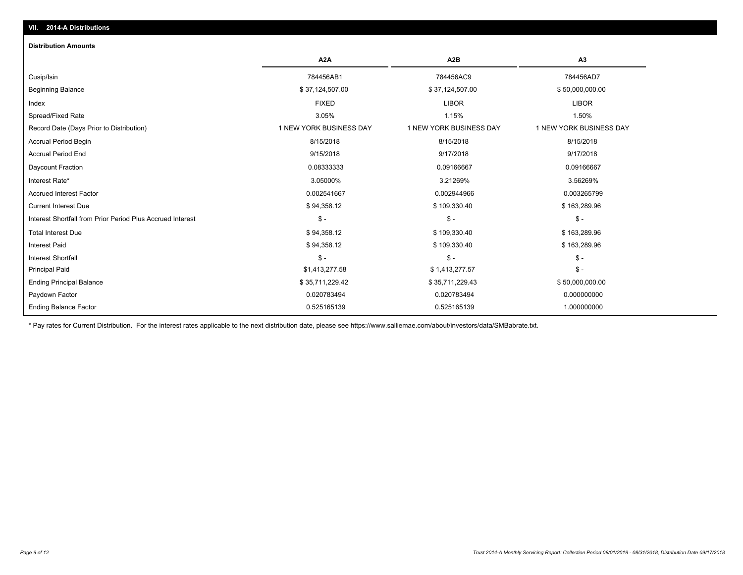## **VII. 2014-A Distributions**

#### **Distribution Amounts**

|                                                            | A <sub>2</sub> A        | A <sub>2</sub> B        | A3                      |
|------------------------------------------------------------|-------------------------|-------------------------|-------------------------|
| Cusip/Isin                                                 | 784456AB1               | 784456AC9               | 784456AD7               |
| <b>Beginning Balance</b>                                   | \$37,124,507.00         | \$37,124,507.00         | \$50,000,000.00         |
| Index                                                      | <b>FIXED</b>            | <b>LIBOR</b>            | <b>LIBOR</b>            |
| Spread/Fixed Rate                                          | 3.05%                   | 1.15%                   | 1.50%                   |
| Record Date (Days Prior to Distribution)                   | 1 NEW YORK BUSINESS DAY | 1 NEW YORK BUSINESS DAY | 1 NEW YORK BUSINESS DAY |
| <b>Accrual Period Begin</b>                                | 8/15/2018               | 8/15/2018               | 8/15/2018               |
| <b>Accrual Period End</b>                                  | 9/15/2018               | 9/17/2018               | 9/17/2018               |
| Daycount Fraction                                          | 0.08333333              | 0.09166667              | 0.09166667              |
| Interest Rate*                                             | 3.05000%                | 3.21269%                | 3.56269%                |
| <b>Accrued Interest Factor</b>                             | 0.002541667             | 0.002944966             | 0.003265799             |
| <b>Current Interest Due</b>                                | \$94,358.12             | \$109,330.40            | \$163,289.96            |
| Interest Shortfall from Prior Period Plus Accrued Interest | $$ -$                   | $\mathsf{\$}$ -         | $\frac{2}{3}$ -         |
| <b>Total Interest Due</b>                                  | \$94,358.12             | \$109,330.40            | \$163,289.96            |
| <b>Interest Paid</b>                                       | \$94,358.12             | \$109,330.40            | \$163,289.96            |
| <b>Interest Shortfall</b>                                  | $$ -$                   | $\mathsf{\$}$ -         | $\frac{2}{3}$ -         |
| <b>Principal Paid</b>                                      | \$1,413,277.58          | \$1,413,277.57          | $\frac{2}{3}$ -         |
| <b>Ending Principal Balance</b>                            | \$35,711,229.42         | \$35,711,229.43         | \$50,000,000.00         |
| Paydown Factor                                             | 0.020783494             | 0.020783494             | 0.000000000             |
| <b>Ending Balance Factor</b>                               | 0.525165139             | 0.525165139             | 1.000000000             |

\* Pay rates for Current Distribution. For the interest rates applicable to the next distribution date, please see https://www.salliemae.com/about/investors/data/SMBabrate.txt.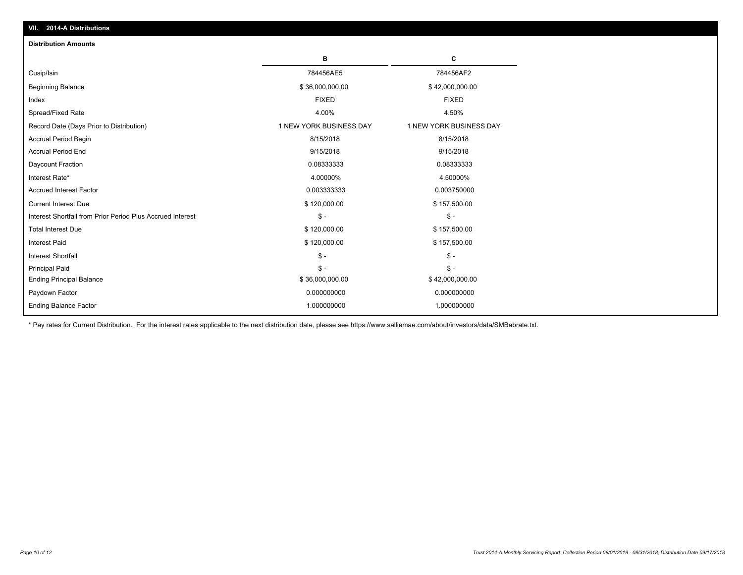| <b>Distribution Amounts</b>                                |                         |                         |
|------------------------------------------------------------|-------------------------|-------------------------|
|                                                            | в                       | C                       |
| Cusip/Isin                                                 | 784456AE5               | 784456AF2               |
|                                                            |                         |                         |
| <b>Beginning Balance</b>                                   | \$36,000,000.00         | \$42,000,000.00         |
| Index                                                      | <b>FIXED</b>            | <b>FIXED</b>            |
| Spread/Fixed Rate                                          | 4.00%                   | 4.50%                   |
| Record Date (Days Prior to Distribution)                   | 1 NEW YORK BUSINESS DAY | 1 NEW YORK BUSINESS DAY |
| Accrual Period Begin                                       | 8/15/2018               | 8/15/2018               |
| <b>Accrual Period End</b>                                  | 9/15/2018               | 9/15/2018               |
| Daycount Fraction                                          | 0.08333333              | 0.08333333              |
| Interest Rate*                                             | 4.00000%                | 4.50000%                |
| <b>Accrued Interest Factor</b>                             | 0.003333333             | 0.003750000             |
| <b>Current Interest Due</b>                                | \$120,000.00            | \$157,500.00            |
| Interest Shortfall from Prior Period Plus Accrued Interest | $\mathsf{\$}$ -         | $\mathbb{S}$ -          |
| <b>Total Interest Due</b>                                  | \$120,000.00            | \$157,500.00            |
| <b>Interest Paid</b>                                       | \$120,000.00            | \$157,500.00            |
| <b>Interest Shortfall</b>                                  | $\mathcal{S}$ -         | $\mathbb{S}$ -          |
| <b>Principal Paid</b>                                      | $S -$                   | $S -$                   |
| <b>Ending Principal Balance</b>                            | \$36,000,000.00         | \$42,000,000.00         |
| Paydown Factor                                             | 0.000000000             | 0.000000000             |
| <b>Ending Balance Factor</b>                               | 1.000000000             | 1.000000000             |

\* Pay rates for Current Distribution. For the interest rates applicable to the next distribution date, please see https://www.salliemae.com/about/investors/data/SMBabrate.txt.

**VII. 2014-A Distributions**